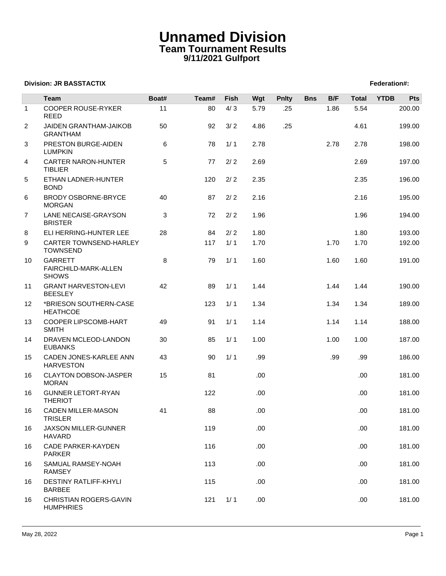## **Unnamed Division Team Tournament Results 9/11/2021 Gulfport**

## **Division: JR BASSTACTIX Federation#:**

|                   | <b>Team</b>                                            | Boat# | Team# | Fish | Wgt  | <b>Pnlty</b> | <b>Bns</b> | B/F  | <b>Total</b> | <b>YTDB</b> | Pts    |
|-------------------|--------------------------------------------------------|-------|-------|------|------|--------------|------------|------|--------------|-------------|--------|
| $\mathbf{1}$      | <b>COOPER ROUSE-RYKER</b>                              | 11    | 80    | 4/3  | 5.79 | .25          |            | 1.86 | 5.54         |             | 200.00 |
|                   | <b>REED</b>                                            |       |       |      |      |              |            |      |              |             |        |
| $\overline{2}$    | <b>JAIDEN GRANTHAM-JAIKOB</b><br><b>GRANTHAM</b>       | 50    | 92    | 3/2  | 4.86 | .25          |            |      | 4.61         |             | 199.00 |
| 3                 | PRESTON BURGE-AIDEN<br><b>LUMPKIN</b>                  | 6     | 78    | 1/1  | 2.78 |              |            | 2.78 | 2.78         |             | 198.00 |
| 4                 | CARTER NARON-HUNTER<br><b>TIBLIER</b>                  | 5     | 77    | 2/2  | 2.69 |              |            |      | 2.69         |             | 197.00 |
| 5                 | ETHAN LADNER-HUNTER<br><b>BOND</b>                     |       | 120   | 2/2  | 2.35 |              |            |      | 2.35         |             | 196.00 |
| 6                 | BRODY OSBORNE-BRYCE<br><b>MORGAN</b>                   | 40    | 87    | 2/2  | 2.16 |              |            |      | 2.16         |             | 195.00 |
| $\overline{7}$    | LANE NECAISE-GRAYSON<br><b>BRISTER</b>                 | 3     | 72    | 2/2  | 1.96 |              |            |      | 1.96         |             | 194.00 |
| 8                 | ELI HERRING-HUNTER LEE                                 | 28    | 84    | 2/2  | 1.80 |              |            |      | 1.80         |             | 193.00 |
| 9                 | CARTER TOWNSEND-HARLEY<br><b>TOWNSEND</b>              |       | 117   | 1/1  | 1.70 |              |            | 1.70 | 1.70         |             | 192.00 |
| 10                | <b>GARRETT</b><br>FAIRCHILD-MARK-ALLEN<br><b>SHOWS</b> | 8     | 79    | 1/1  | 1.60 |              |            | 1.60 | 1.60         |             | 191.00 |
| 11                | <b>GRANT HARVESTON-LEVI</b><br><b>BEESLEY</b>          | 42    | 89    | 1/1  | 1.44 |              |            | 1.44 | 1.44         |             | 190.00 |
| $12 \overline{ }$ | *BRIESON SOUTHERN-CASE<br><b>HEATHCOE</b>              |       | 123   | 1/1  | 1.34 |              |            | 1.34 | 1.34         |             | 189.00 |
| 13                | COOPER LIPSCOMB-HART<br><b>SMITH</b>                   | 49    | 91    | 1/1  | 1.14 |              |            | 1.14 | 1.14         |             | 188.00 |
| 14                | DRAVEN MCLEOD-LANDON<br><b>EUBANKS</b>                 | 30    | 85    | 1/1  | 1.00 |              |            | 1.00 | 1.00         |             | 187.00 |
| 15                | CADEN JONES-KARLEE ANN<br><b>HARVESTON</b>             | 43    | 90    | 1/1  | .99  |              |            | .99  | .99          |             | 186.00 |
| 16                | <b>CLAYTON DOBSON-JASPER</b><br><b>MORAN</b>           | 15    | 81    |      | .00  |              |            |      | .00.         |             | 181.00 |
| 16                | <b>GUNNER LETORT-RYAN</b><br><b>THERIOT</b>            |       | 122   |      | .00  |              |            |      | .00.         |             | 181.00 |
| 16                | <b>CADEN MILLER-MASON</b><br>TRISLER                   | 41    | 88    |      | .00  |              |            |      | .00.         |             | 181.00 |
| 16                | <b>JAXSON MILLER-GUNNER</b><br><b>HAVARD</b>           |       | 119   |      | .00  |              |            |      | .00.         |             | 181.00 |
| 16                | <b>CADE PARKER-KAYDEN</b><br><b>PARKER</b>             |       | 116   |      | .00. |              |            |      | .00.         |             | 181.00 |
| 16                | SAMUAL RAMSEY-NOAH<br><b>RAMSEY</b>                    |       | 113   |      | .00. |              |            |      | .00.         |             | 181.00 |
| 16                | <b>DESTINY RATLIFF-KHYLI</b><br><b>BARBEE</b>          |       | 115   |      | .00  |              |            |      | .00.         |             | 181.00 |
| 16                | CHRISTIAN ROGERS-GAVIN<br><b>HUMPHRIES</b>             |       | 121   | 1/1  | .00. |              |            |      | .00.         |             | 181.00 |
|                   |                                                        |       |       |      |      |              |            |      |              |             |        |